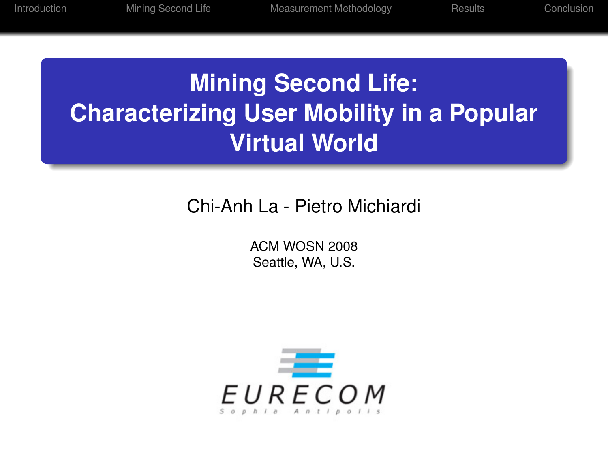# **Mining Second Life: Characterizing User Mobility in a Popular Virtual World**

# Chi-Anh La - Pietro Michiardi

ACM WOSN 2008 Seattle, WA, U.S.

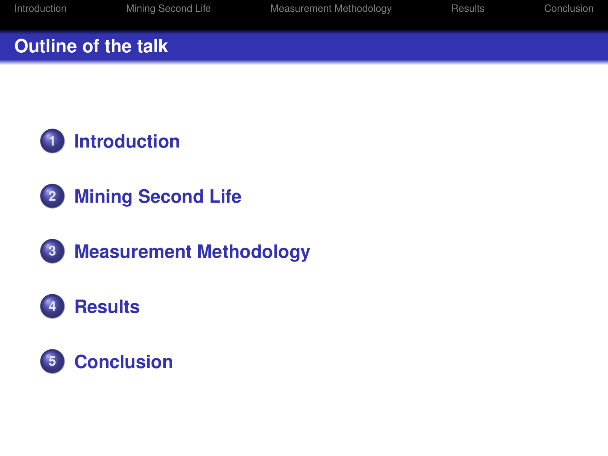#### **Outline of the talk**





**[Measurement Methodology](#page-10-0)**

# **[Results](#page-13-0)**

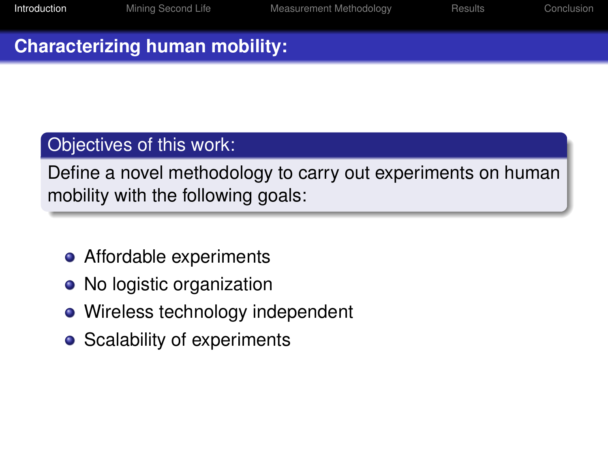#### **Characterizing human mobility:**

## Objectives of this work:

Define a novel methodology to carry out experiments on human mobility with the following goals:

- **•** Affordable experiments
- No logistic organization
- Wireless technology independent
- <span id="page-2-0"></span>• Scalability of experiments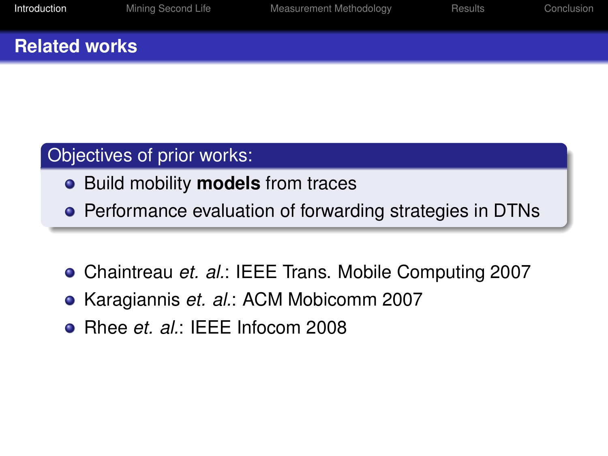#### **Related works**

#### Objectives of prior works:

- Build mobility **models** from traces
- **•** Performance evaluation of forwarding strategies in DTNs
- Chaintreau *et. al.*: IEEE Trans. Mobile Computing 2007
- Karagiannis *et. al.*: ACM Mobicomm 2007
- Rhee *et. al.*: IEEE Infocom 2008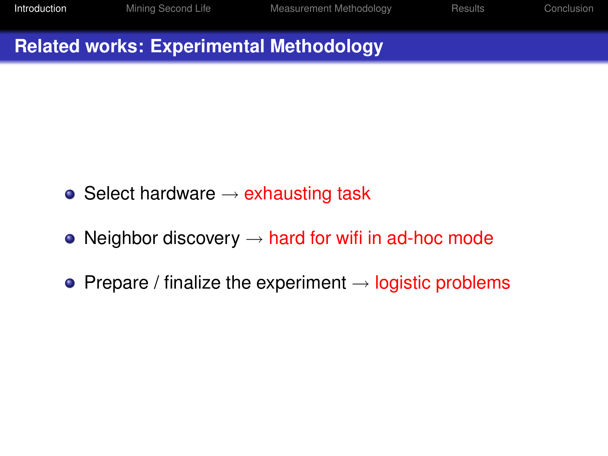# **Related works: Experimental Methodology**

- Select hardware  $\rightarrow$  exhausting task
- Neighbor discovery  $\rightarrow$  hard for wifi in ad-hoc mode
- Prepare / finalize the experiment  $\rightarrow$  logistic problems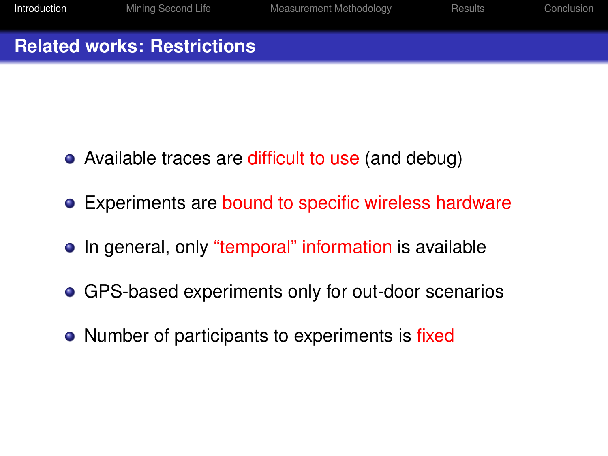#### **Related works: Restrictions**

- Available traces are difficult to use (and debug)
- Experiments are bound to specific wireless hardware
- In general, only "temporal" information is available
- GPS-based experiments only for out-door scenarios
- Number of participants to experiments is fixed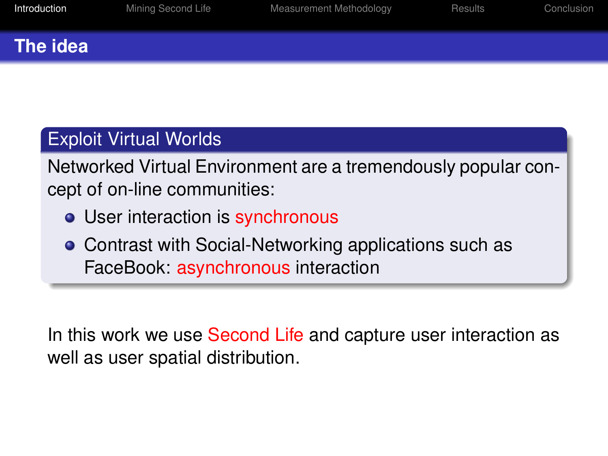#### **The idea**

# Exploit Virtual Worlds

Networked Virtual Environment are a tremendously popular concept of on-line communities:

- User interaction is synchronous
- **Contrast with Social-Networking applications such as** FaceBook: asynchronous interaction

In this work we use Second Life and capture user interaction as well as user spatial distribution.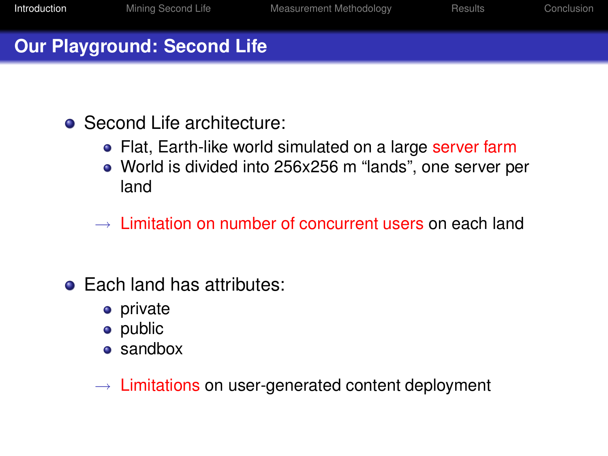### **Our Playground: Second Life**

- Second Life architecture:
	- Flat, Earth-like world simulated on a large server farm
	- World is divided into 256x256 m "lands", one server per land
	- $\rightarrow$  Limitation on number of concurrent users on each land
- Each land has attributes:
	- private
	- public
	- sandbox
	- $\rightarrow$  Limitations on user-generated content deployment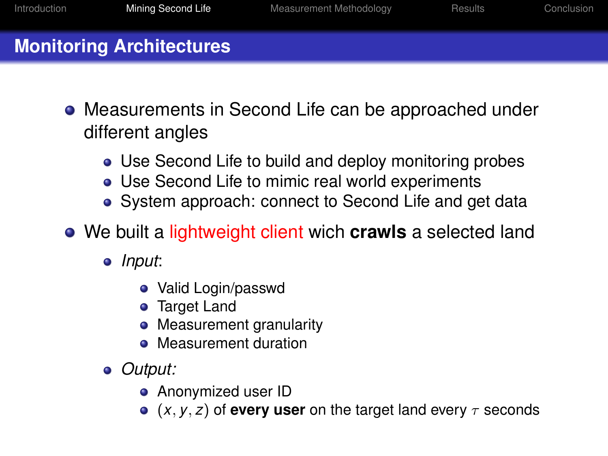# **Monitoring Architectures**

- Measurements in Second Life can be approached under different angles
	- Use Second Life to build and deploy monitoring probes
	- Use Second Life to mimic real world experiments
	- System approach: connect to Second Life and get data
- <span id="page-8-0"></span>We built a lightweight client wich **crawls** a selected land
	- *Input*:
		- Valid Login/passwd
		- **•** Target Land
		- Measurement granularity
		- **•** Measurement duration
	- *Output:*
		- **•** Anonymized user ID
		- $\bullet$  (*x*, *y*, *z*) of **every user** on the target land every  $\tau$  seconds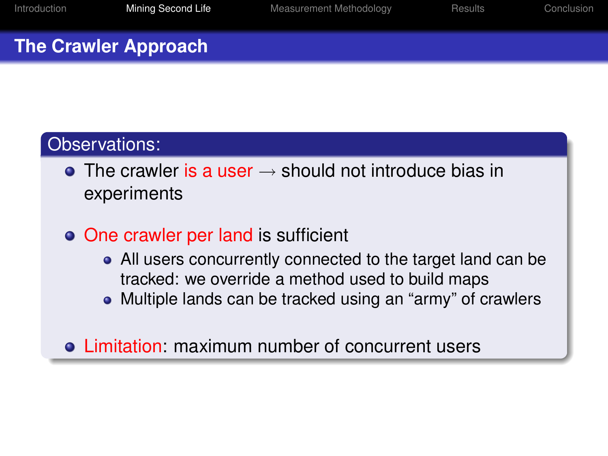#### **The Crawler Approach**

#### Observations:

- $\bullet$  The crawler is a user  $\rightarrow$  should not introduce bias in experiments
- One crawler per land is sufficient
	- All users concurrently connected to the target land can be tracked: we override a method used to build maps
	- Multiple lands can be tracked using an "army" of crawlers
- Limitation: maximum number of concurrent users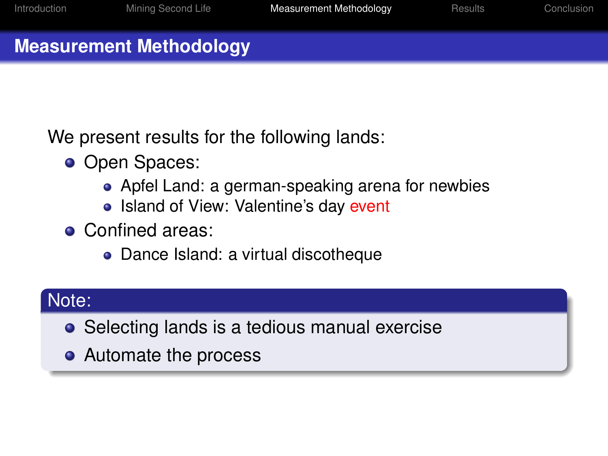### **Measurement Methodology**

We present results for the following lands:

- Open Spaces:
	- Apfel Land: a german-speaking arena for newbies
	- Island of View: Valentine's day event
- **Confined areas:** 
	- Dance Island: a virtual discotheque

# Note:

- Selecting lands is a tedious manual exercise
- <span id="page-10-0"></span>• Automate the process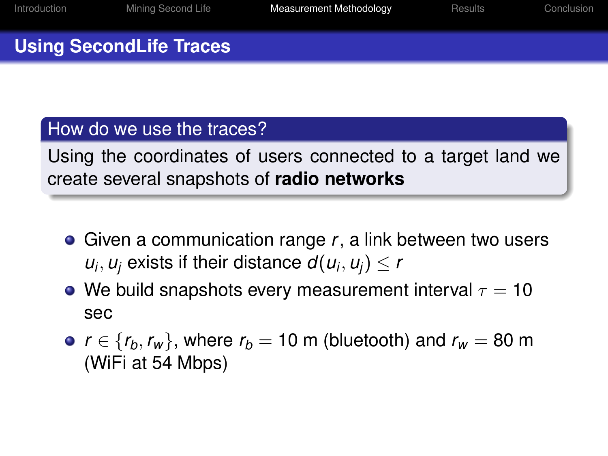# **Using SecondLife Traces**

#### How do we use the traces?

Using the coordinates of users connected to a target land we create several snapshots of **radio networks**

- Given a communication range *r*, a link between two users  $u_i, u_j$  exists if their distance  $d(u_i, u_j) \leq r$
- We build snapshots every measurement interval  $\tau = 10$ sec
- $r \in \{r_h, r_w\}$ , where  $r_h = 10$  m (bluetooth) and  $r_w = 80$  m (WiFi at 54 Mbps)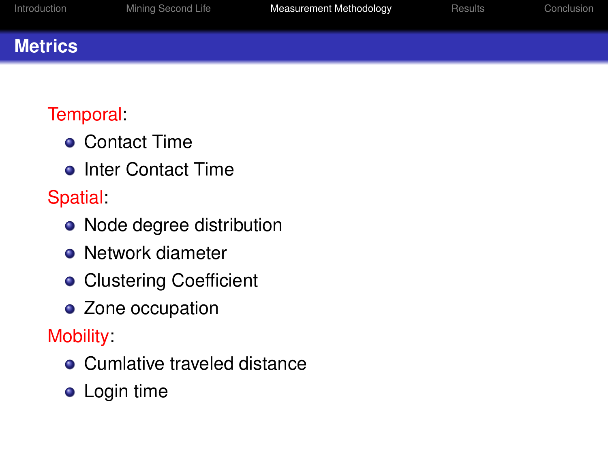#### **Metrics**

# Temporal:

- **Contact Time**
- **•** Inter Contact Time

**Spatial:** 

- Node degree distribution
- Network diameter
- **Clustering Coefficient**
- Zone occupation

Mobility:

- **Cumlative traveled distance**
- **•** Login time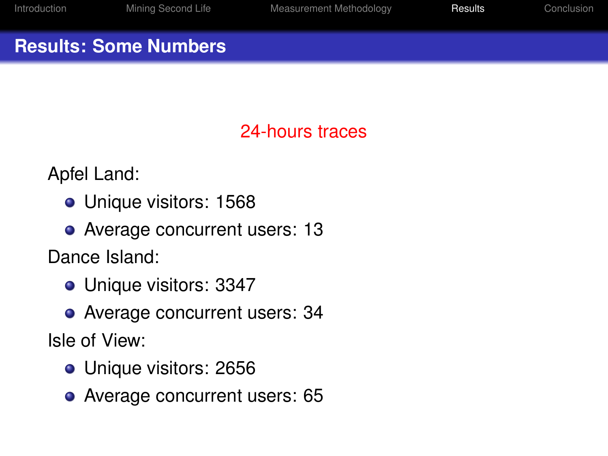#### **Results: Some Numbers**

# 24-hours traces

Apfel Land:

- Unique visitors: 1568
- Average concurrent users: 13

Dance Island:

- **Unique visitors: 3347**
- Average concurrent users: 34

Isle of View:

- **Unique visitors: 2656**
- <span id="page-13-0"></span>• Average concurrent users: 65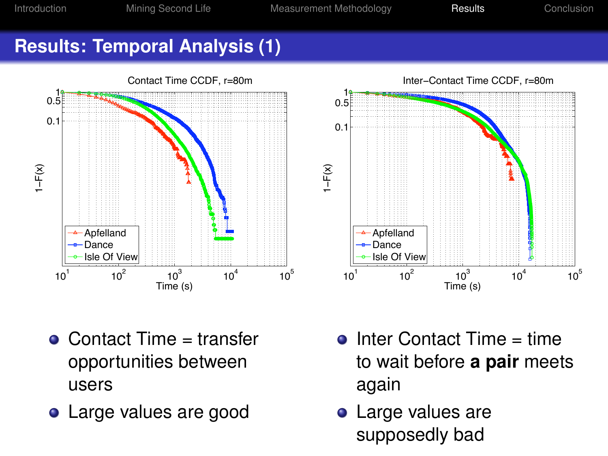[Introduction](#page-2-0) [Mining Second Life](#page-8-0) [Measurement Methodology](#page-10-0) [Results](#page-13-0) [Conclusion](#page-17-0)

#### **Results: Temporal Analysis (1)**



- $\bullet$  Contact Time = transfer opportunities between users
- 
- $\bullet$  Inter Contact Time = time to wait before **a pair** meets again
- **•** Large values are supposedly bad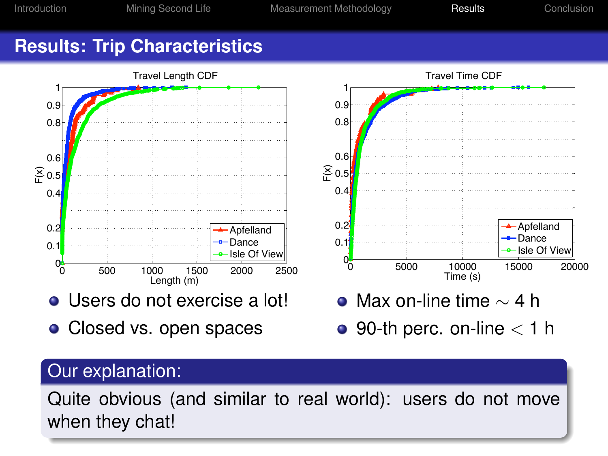# **Results: Trip Characteristics**



- Users do not exercise a lot!
- Closed vs. open spaces



 $\bullet$  90-th perc. on-line  $<$  1 h

# Our explanation:

Quite obvious (and similar to real world): users do not move when they chat!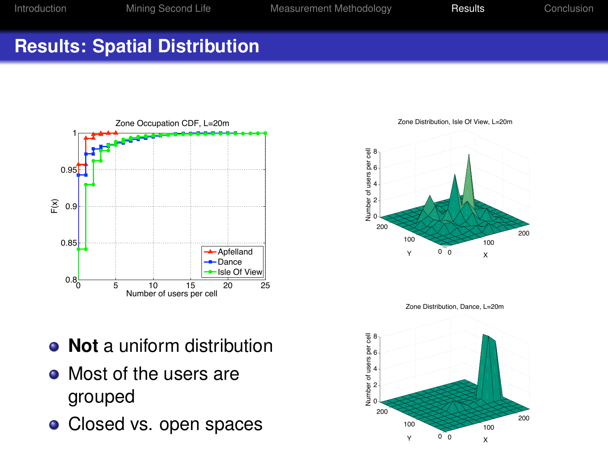# **Results: Spatial Distribution**



Zone Distribution, Isle Of View, L=20m



Zone Distribution, Dance, L=20m

0 100 200 0 100 200 2 4  $\overline{2}6$ 8 X Y Number of users per cell

- **Not** a uniform distribution
- Most of the users are grouped
-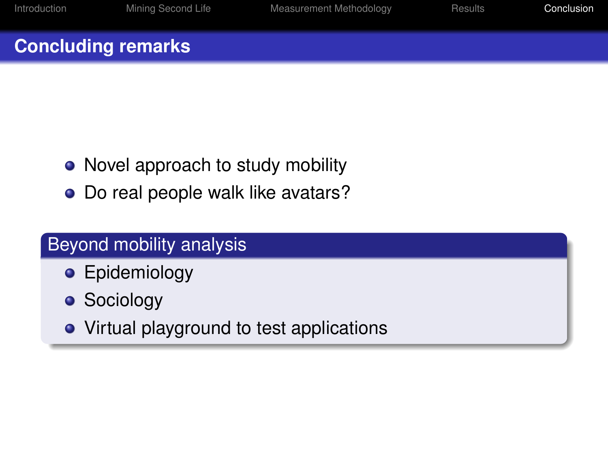#### **Concluding remarks**

- Novel approach to study mobility
- Do real people walk like avatars?

# Beyond mobility analysis

- **•** Epidemiology
- **Sociology**
- <span id="page-17-0"></span>• Virtual playground to test applications